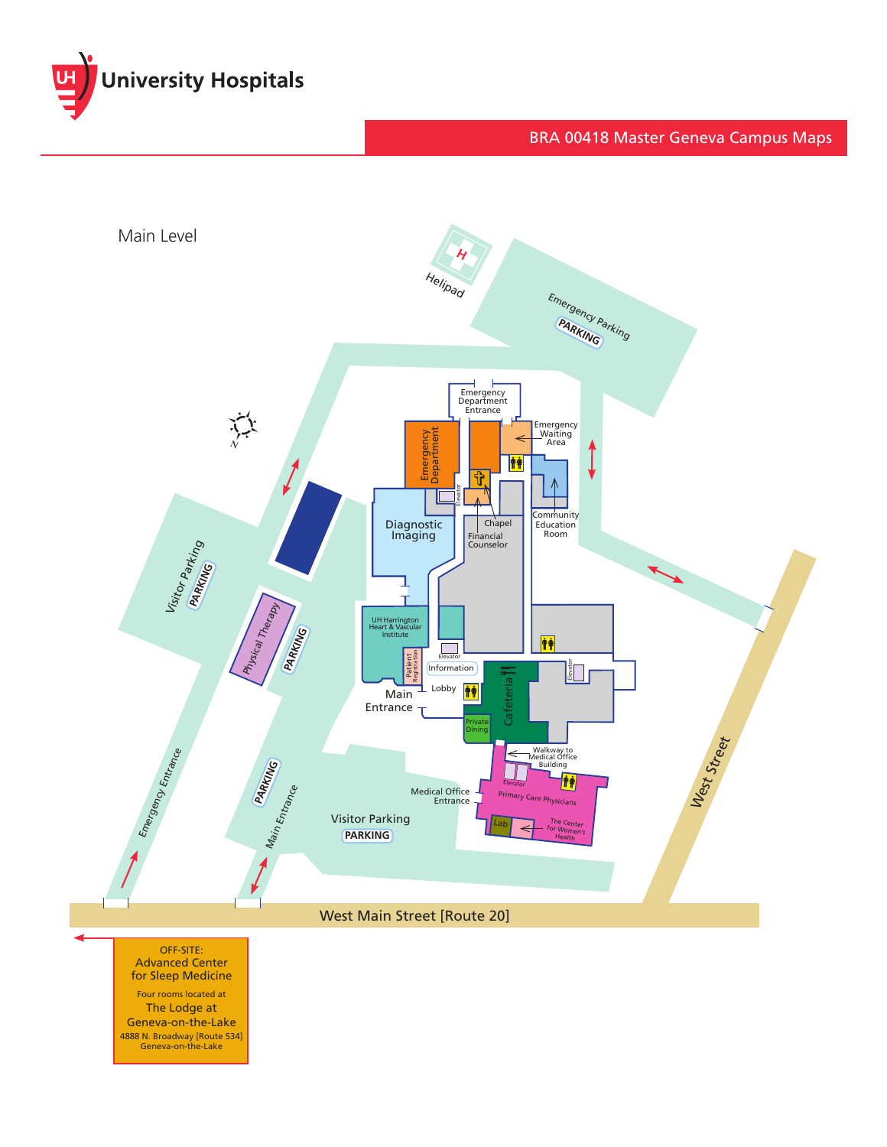

## BRA 00418 Master Geneva Campus Maps



OFF-SITE: Advanced Center for Sleep Medicine

Four rooms located at The Lodge at Geneva-on-the-Lake 4888 N. Broadway [Route 534] Geneva-on-the-Lake